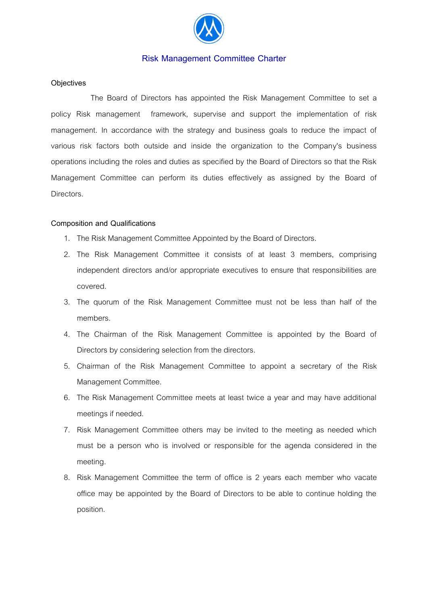

# **Risk Management Committee Charter**

## **Objectives**

 The Board of Directors has appointed the Risk Management Committee to set a policy Risk management framework, supervise and support the implementation of risk management. In accordance with the strategy and business goals to reduce the impact of various risk factors both outside and inside the organization to the Company's business operations including the roles and duties as specified by the Board of Directors so that the Risk Management Committee can perform its duties effectively as assigned by the Board of Directors.

#### **Composition and Qualifications**

- 1. The Risk Management Committee Appointed by the Board of Directors.
- 2. The Risk Management Committee it consists of at least 3 members, comprising independent directors and/or appropriate executives to ensure that responsibilities are covered.
- 3. The quorum of the Risk Management Committee must not be less than half of the members.
- 4. The Chairman of the Risk Management Committee is appointed by the Board of Directors by considering selection from the directors.
- 5. Chairman of the Risk Management Committee to appoint a secretary of the Risk Management Committee.
- 6. The Risk Management Committee meets at least twice a year and may have additional meetings if needed.
- 7. Risk Management Committee others may be invited to the meeting as needed which must be a person who is involved or responsible for the agenda considered in the meeting.
- 8. Risk Management Committee the term of office is 2 years each member who vacate office may be appointed by the Board of Directors to be able to continue holding the position.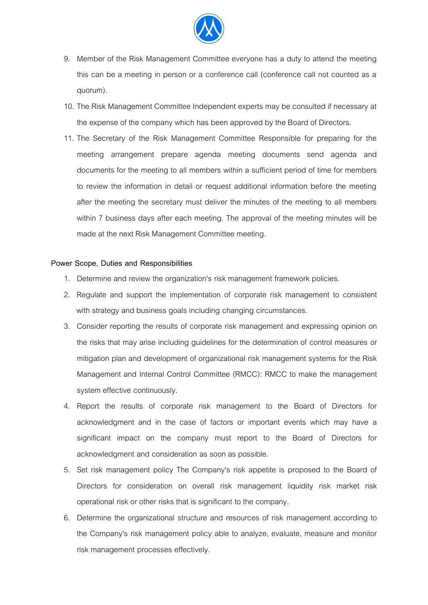

- 9. Member of the Risk Management Committee everyone has a duty to attend the meeting this can be a meeting in person or a conference call (conference call not counted as a quorum).
- 10. The Risk Management Committee Independent experts may be consulted if necessary at the expense of the company which has been approved by the Board of Directors.
- 11. The Secretary of the Risk Management Committee Responsible for preparing for the meeting arrangement prepare agenda meeting documents send agenda and documents for the meeting to all members within a sufficient period of time for members to review the information in detail or request additional information before the meeting after the meeting the secretary must deliver the minutes of the meeting to all members within 7 business days after each meeting. The approval of the meeting minutes will be made at the next Risk Management Committee meeting.

#### **Power Scope, Duties and Responsibilities**

- 1. Determine and review the organization's risk management framework policies.
- 2. Regulate and support the implementation of corporate risk management to consistent with strategy and business goals including changing circumstances.
- 3. Consider reporting the results of corporate risk management and expressing opinion on the risks that may arise including guidelines for the determination of control measures or mitigation plan and development of organizational risk management systems for the Risk Management and Internal Control Committee (RMCC): RMCC to make the management system effective continuously.
- 4. Report the results of corporate risk management to the Board of Directors for acknowledgment and in the case of factors or important events which may have a significant impact on the company must report to the Board of Directors for acknowledgment and consideration as soon as possible.
- 5. Set risk management policy The Company's risk appetite is proposed to the Board of Directors for consideration on overall risk management liquidity risk market risk operational risk or other risks that is significant to the company.
- 6. Determine the organizational structure and resources of risk management according to the Company's risk management policy able to analyze, evaluate, measure and monitor risk management processes effectively.